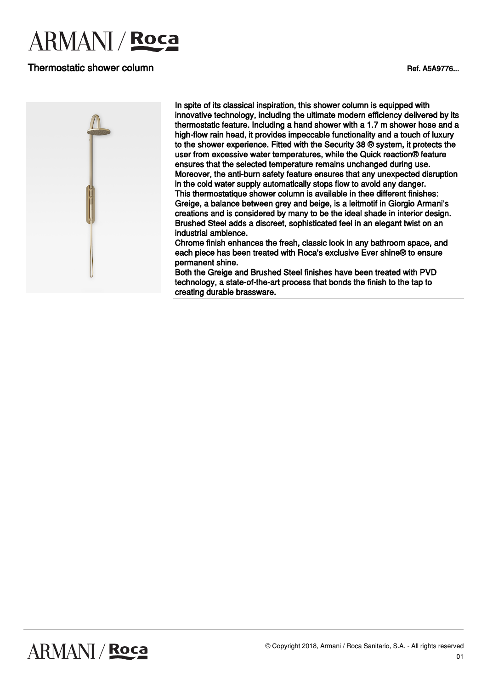# **ARMANI** / **Roca**

## Thermostatic shower column and the column control of the column control of the column control of the column column column column column column column column column column column column column column column column column co



In spite of its classical inspiration, this shower column is equipped with innovative technology, including the ultimate modern efficiency delivered by its thermostatic feature. Including a hand shower with a 1.7 m shower hose and a high-flow rain head, it provides impeccable functionality and a touch of luxury to the shower experience. Fitted with the Security 38 ® system, it protects the user from excessive water temperatures, while the Quick reaction® feature ensures that the selected temperature remains unchanged during use. Moreover, the anti-burn safety feature ensures that any unexpected disruption in the cold water supply automatically stops flow to avoid any danger. This thermostatique shower column is available in thee different finishes: Greige, a balance between grey and beige, is a leitmotif in Giorgio Armani's creations and is considered by many to be the ideal shade in interior design. Brushed Steel adds a discreet, sophisticated feel in an elegant twist on an industrial ambience.

Chrome finish enhances the fresh, classic look in any bathroom space, and each piece has been treated with Roca's exclusive Ever shine® to ensure permanent shine.

Both the Greige and Brushed Steel finishes have been treated with PVD technology, a state-of-the-art process that bonds the finish to the tap to creating durable brassware.

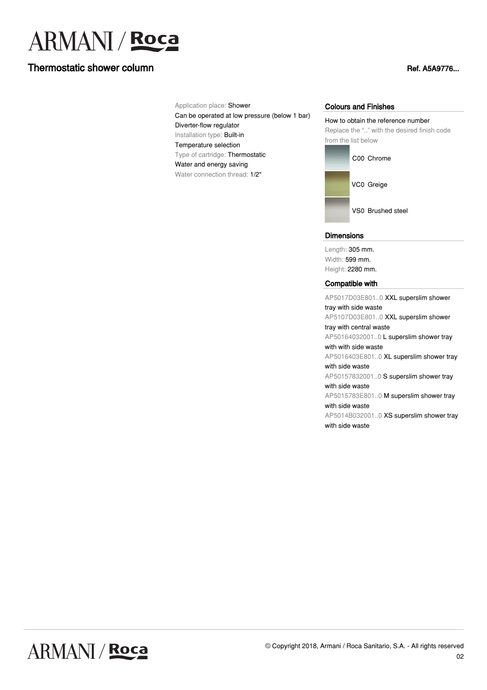# **ARMANI** / Roca

# Thermostatic shower column and the column control of the column control of the column control of the column column column column column column column column column column column column column column column column column co

Application place: Shower Can be operated at low pressure (below 1 bar) Diverter-flow regulator Installation type: Built-in Temperature selection Type of cartridge: Thermostatic Water and energy saving Water connection thread: 1/2"

#### Colours and Finishes

How to obtain the reference number Replace the ".." with the desired finish code from the list below



VS0 Brushed steel

#### **Dimensions**

Length: 305 mm. Width: 599 mm. Height: 2280 mm.

#### Compatible with

AP5017D03E801..0 XXL superslim shower tray with side waste AP5107D03E801..0 XXL superslim shower tray with central waste AP50164032001..0 L superslim shower tray with with side waste AP5016403E801..0 XL superslim shower tray with side waste AP50157832001..0 S superslim shower tray with side waste AP5015783E801..0 M superslim shower tray with side waste AP5014B032001..0 XS superslim shower tray with side waste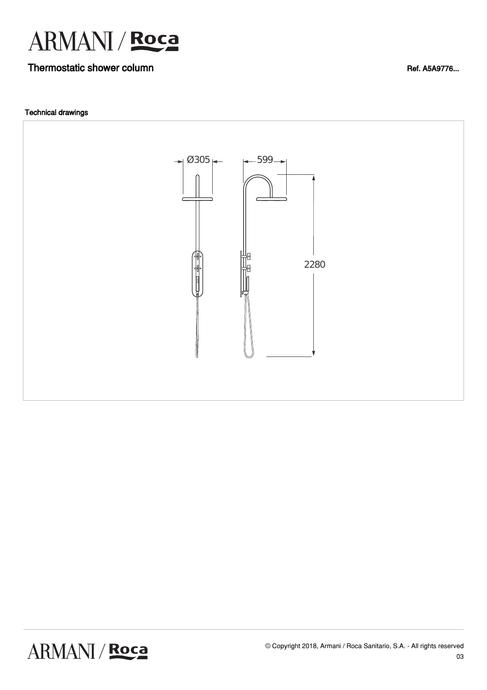

# Thermostatic shower column and the column control of the column and the column Ref. A5A9776...

### Technical drawings

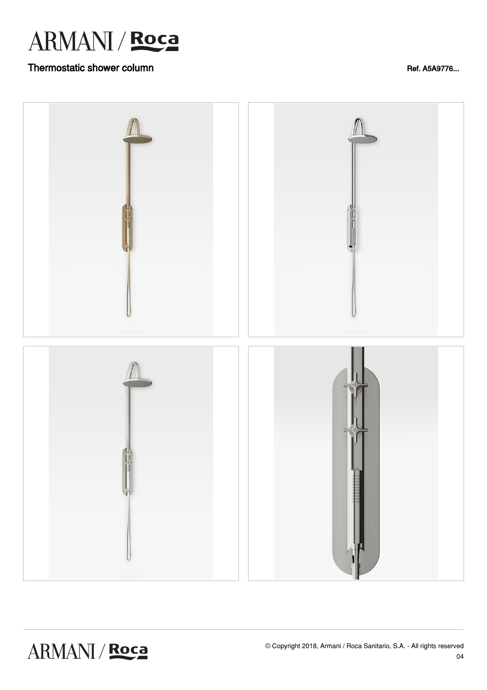

# Thermostatic shower column and the column control of the column and the column Ref. A5A9776...

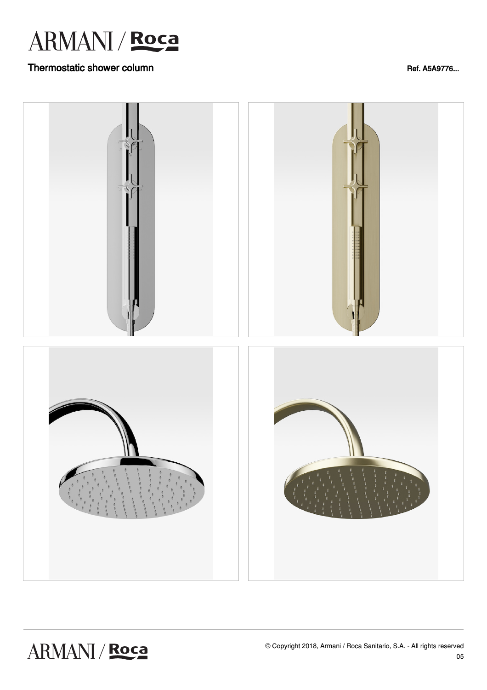

# Thermostatic shower column and the column control of the column and the column Ref. A5A9776...